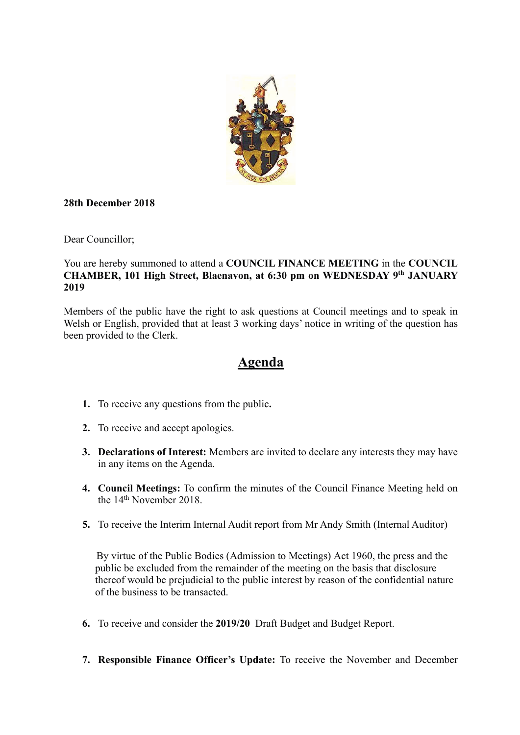

#### **28th December 2018**

Dear Councillor;

#### You are hereby summoned to attend a **COUNCIL FINANCE MEETING** in the **COUNCIL CHAMBER, 101 High Street, Blaenavon, at 6:30 pm on WEDNESDAY 9th JANUARY 2019**

Members of the public have the right to ask questions at Council meetings and to speak in Welsh or English, provided that at least 3 working days' notice in writing of the question has been provided to the Clerk.

# **Agenda**

- **1.** To receive any questions from the public**.**
- **2.** To receive and accept apologies.
- **3. Declarations of Interest:** Members are invited to declare any interests they may have in any items on the Agenda.
- **4. Council Meetings:** To confirm the minutes of the Council Finance Meeting held on the 14<sup>th</sup> November 2018.
- **5.** To receive the Interim Internal Audit report from Mr Andy Smith (Internal Auditor)

By virtue of the Public Bodies (Admission to Meetings) Act 1960, the press and the public be excluded from the remainder of the meeting on the basis that disclosure thereof would be prejudicial to the public interest by reason of the confidential nature of the business to be transacted.

- **6.** To receive and consider the **2019/20** Draft Budget and Budget Report.
- **7. Responsible Finance Officer's Update:** To receive the November and December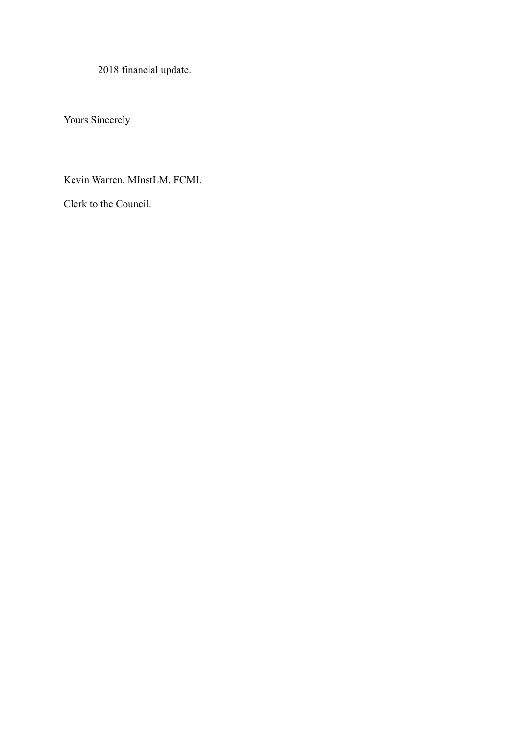2018 financial update.

Yours Sincerely

Kevin Warren. MInstLM. FCMI.

Clerk to the Council.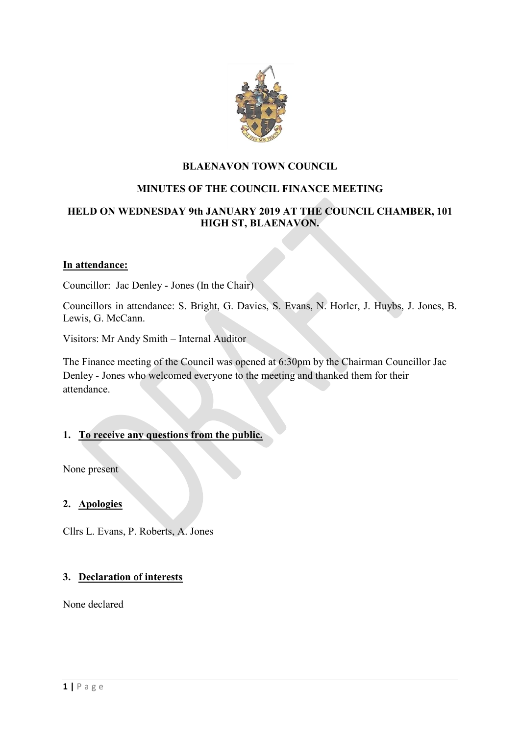

# **BLAENAVON TOWN COUNCIL**

# **MINUTES OF THE COUNCIL FINANCE MEETING**

# **HELD ON WEDNESDAY 9th JANUARY 2019 AT THE COUNCIL CHAMBER, 101 HIGH ST, BLAENAVON.**

#### **In attendance:**

Councillor: Jac Denley - Jones (In the Chair)

Councillors in attendance: S. Bright, G. Davies, S. Evans, N. Horler, J. Huybs, J. Jones, B. Lewis, G. McCann.

Visitors: Mr Andy Smith – Internal Auditor

The Finance meeting of the Council was opened at 6:30pm by the Chairman Councillor Jac Denley - Jones who welcomed everyone to the meeting and thanked them for their attendance.

#### **1. To receive any questions from the public.**

None present

#### **2. Apologies**

Cllrs L. Evans, P. Roberts, A. Jones

#### **3. Declaration of interests**

None declared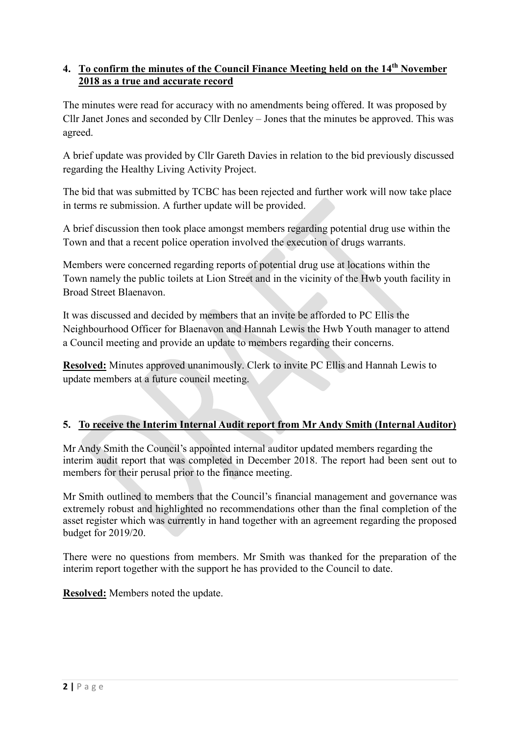# **4. To confirm the minutes of the Council Finance Meeting held on the 14th November 2018 as a true and accurate record**

The minutes were read for accuracy with no amendments being offered. It was proposed by Cllr Janet Jones and seconded by Cllr Denley – Jones that the minutes be approved. This was agreed.

A brief update was provided by Cllr Gareth Davies in relation to the bid previously discussed regarding the Healthy Living Activity Project.

The bid that was submitted by TCBC has been rejected and further work will now take place in terms re submission. A further update will be provided.

A brief discussion then took place amongst members regarding potential drug use within the Town and that a recent police operation involved the execution of drugs warrants.

Members were concerned regarding reports of potential drug use at locations within the Town namely the public toilets at Lion Street and in the vicinity of the Hwb youth facility in Broad Street Blaenavon.

It was discussed and decided by members that an invite be afforded to PC Ellis the Neighbourhood Officer for Blaenavon and Hannah Lewis the Hwb Youth manager to attend a Council meeting and provide an update to members regarding their concerns.

**Resolved:** Minutes approved unanimously. Clerk to invite PC Ellis and Hannah Lewis to update members at a future council meeting.

# **5. To receive the Interim Internal Audit report from Mr Andy Smith (Internal Auditor)**

Mr Andy Smith the Council's appointed internal auditor updated members regarding the interim audit report that was completed in December 2018. The report had been sent out to members for their perusal prior to the finance meeting.

Mr Smith outlined to members that the Council's financial management and governance was extremely robust and highlighted no recommendations other than the final completion of the asset register which was currently in hand together with an agreement regarding the proposed budget for 2019/20.

There were no questions from members. Mr Smith was thanked for the preparation of the interim report together with the support he has provided to the Council to date.

**Resolved:** Members noted the update.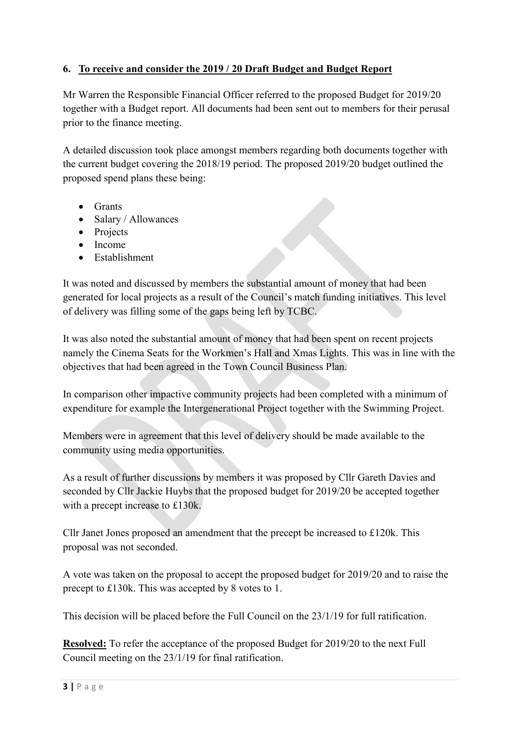# **6. To receive and consider the 2019 / 20 Draft Budget and Budget Report**

Mr Warren the Responsible Financial Officer referred to the proposed Budget for 2019/20 together with a Budget report. All documents had been sent out to members for their perusal prior to the finance meeting.

A detailed discussion took place amongst members regarding both documents together with the current budget covering the 2018/19 period. The proposed 2019/20 budget outlined the proposed spend plans these being:

- Grants
- Salary / Allowances
- Projects
- $\bullet$  Income
- Establishment

It was noted and discussed by members the substantial amount of money that had been generated for local projects as a result of the Council's match funding initiatives. This level of delivery was filling some of the gaps being left by TCBC.

It was also noted the substantial amount of money that had been spent on recent projects namely the Cinema Seats for the Workmen's Hall and Xmas Lights. This was in line with the objectives that had been agreed in the Town Council Business Plan.

In comparison other impactive community projects had been completed with a minimum of expenditure for example the Intergenerational Project together with the Swimming Project.

Members were in agreement that this level of delivery should be made available to the community using media opportunities.

As a result of further discussions by members it was proposed by Cllr Gareth Davies and seconded by Cllr Jackie Huybs that the proposed budget for 2019/20 be accepted together with a precept increase to £130k.

Cllr Janet Jones proposed an amendment that the precept be increased to £120k. This proposal was not seconded.

A vote was taken on the proposal to accept the proposed budget for 2019/20 and to raise the precept to £130k. This was accepted by 8 votes to 1.

This decision will be placed before the Full Council on the 23/1/19 for full ratification.

**Resolved:** To refer the acceptance of the proposed Budget for 2019/20 to the next Full Council meeting on the 23/1/19 for final ratification.